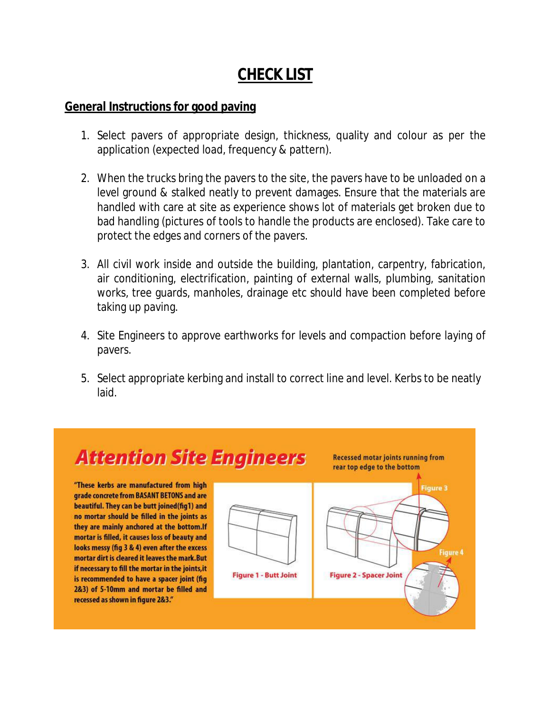## **CHECK LIST**

## **General Instructions for good paving**

- 1. Select pavers of appropriate design, thickness, quality and colour as per the application (expected load, frequency & pattern).
- 2. When the trucks bring the pavers to the site, the pavers have to be unloaded on a level ground & stalked neatly to prevent damages. Ensure that the materials are handled with care at site as experience shows lot of materials get broken due to bad handling (pictures of tools to handle the products are enclosed). Take care to protect the edges and corners of the pavers.
- 3. All civil work inside and outside the building, plantation, carpentry, fabrication, air conditioning, electrification, painting of external walls, plumbing, sanitation works, tree guards, manholes, drainage etc should have been completed before taking up paving.
- 4. Site Engineers to approve earthworks for levels and compaction before laying of pavers.
- 5. Select appropriate kerbing and install to correct line and level. Kerbs to be neatly laid.